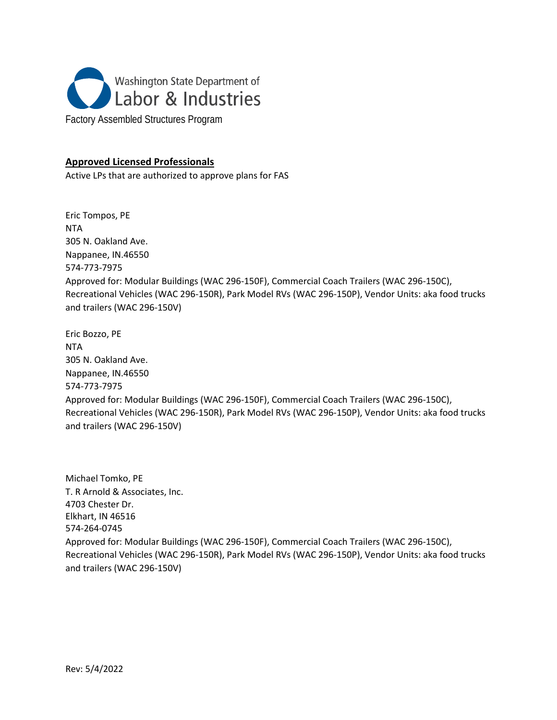

## **Approved Licensed Professionals**

Active LPs that are authorized to approve plans for FAS

Eric Tompos, PE NTA 305 N. Oakland Ave. Nappanee, IN.46550 574-773-7975 Approved for: Modular Buildings (WAC 296-150F), Commercial Coach Trailers (WAC 296-150C), Recreational Vehicles (WAC 296-150R), Park Model RVs (WAC 296-150P), Vendor Units: aka food trucks and trailers (WAC 296-150V)

Eric Bozzo, PE NTA 305 N. Oakland Ave. Nappanee, IN.46550 574-773-7975 Approved for: Modular Buildings (WAC 296-150F), Commercial Coach Trailers (WAC 296-150C), Recreational Vehicles (WAC 296-150R), Park Model RVs (WAC 296-150P), Vendor Units: aka food trucks and trailers (WAC 296-150V)

Michael Tomko, PE T. R Arnold & Associates, Inc. 4703 Chester Dr. Elkhart, IN 46516 574-264-0745 Approved for: Modular Buildings (WAC 296-150F), Commercial Coach Trailers (WAC 296-150C), Recreational Vehicles (WAC 296-150R), Park Model RVs (WAC 296-150P), Vendor Units: aka food trucks and trailers (WAC 296-150V)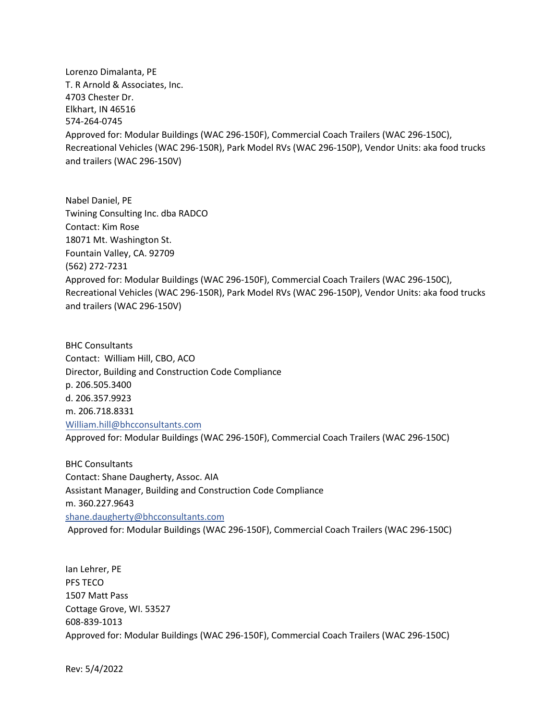Lorenzo Dimalanta, PE T. R Arnold & Associates, Inc. 4703 Chester Dr. Elkhart, IN 46516 574-264-0745 Approved for: Modular Buildings (WAC 296-150F), Commercial Coach Trailers (WAC 296-150C), Recreational Vehicles (WAC 296-150R), Park Model RVs (WAC 296-150P), Vendor Units: aka food trucks and trailers (WAC 296-150V)

Nabel Daniel, PE Twining Consulting Inc. dba RADCO Contact: Kim Rose 18071 Mt. Washington St. Fountain Valley, CA. 92709 (562) 272-7231 Approved for: Modular Buildings (WAC 296-150F), Commercial Coach Trailers (WAC 296-150C), Recreational Vehicles (WAC 296-150R), Park Model RVs (WAC 296-150P), Vendor Units: aka food trucks and trailers (WAC 296-150V)

BHC Consultants Contact: William Hill, CBO, ACO Director, Building and Construction Code Compliance p. 206.505.3400 d. 206.357.9923 m. 206.718.8331 [William.hill@bhcconsultants.com](mailto:William.hill@bhcconsultants.com) Approved for: Modular Buildings (WAC 296-150F), Commercial Coach Trailers (WAC 296-150C)

BHC Consultants Contact: Shane Daugherty, Assoc. AIA Assistant Manager, Building and Construction Code Compliance m. 360.227.9643 [shane.daugherty@bhcconsultants.com](mailto:shane.daugherty@bhcconsultants.com) Approved for: Modular Buildings (WAC 296-150F), Commercial Coach Trailers (WAC 296-150C)

Ian Lehrer, PE PFS TECO 1507 Matt Pass Cottage Grove, WI. 53527 608-839-1013 Approved for: Modular Buildings (WAC 296-150F), Commercial Coach Trailers (WAC 296-150C)